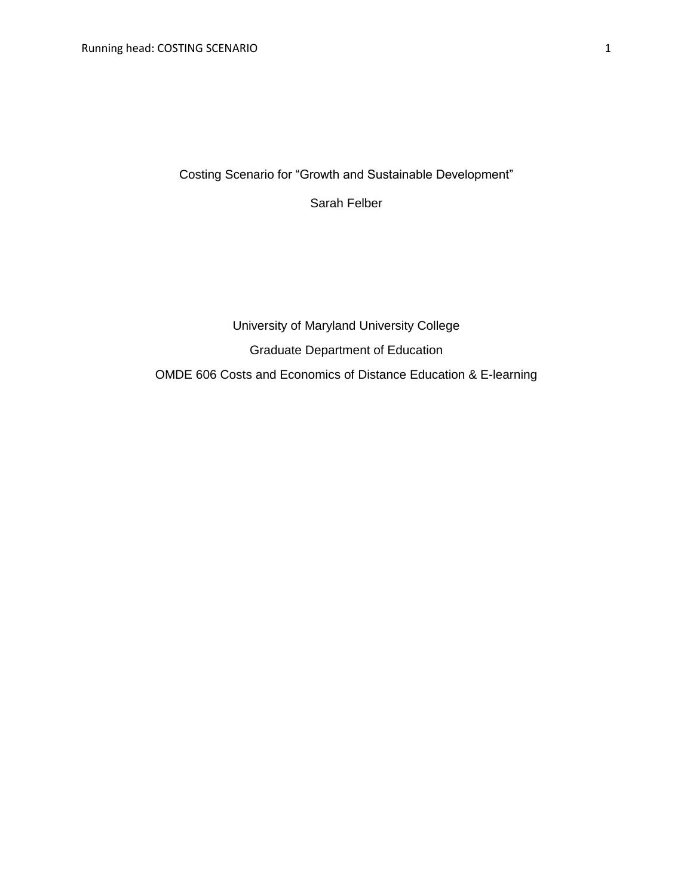Costing Scenario for "Growth and Sustainable Development"

Sarah Felber

# University of Maryland University College Graduate Department of Education OMDE 606 Costs and Economics of Distance Education & E-learning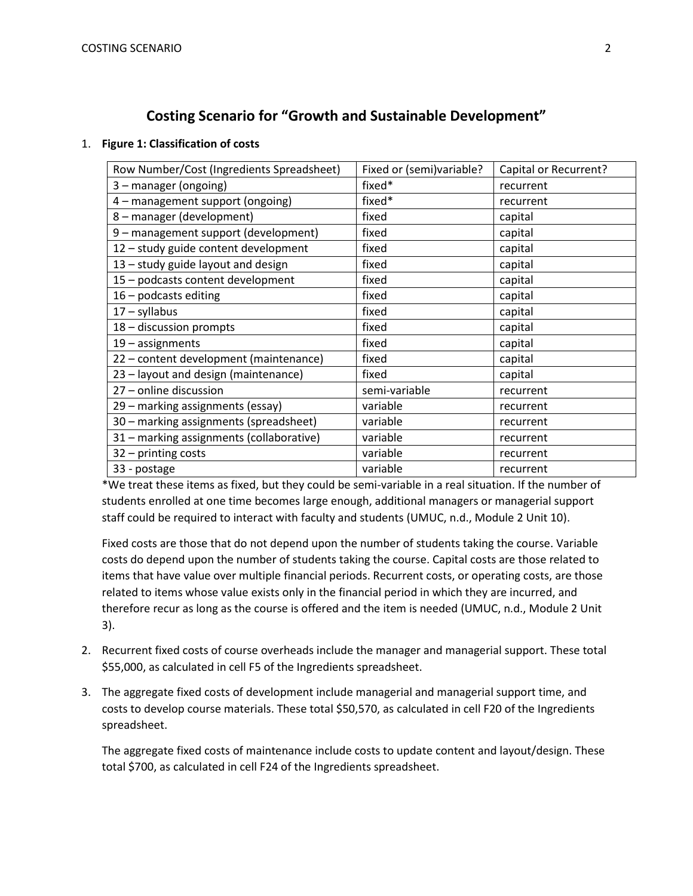## **Costing Scenario for "Growth and Sustainable Development"**

### 1. **Figure 1: Classification of costs**

| Row Number/Cost (Ingredients Spreadsheet) | Fixed or (semi)variable? | Capital or Recurrent? |
|-------------------------------------------|--------------------------|-----------------------|
| 3 - manager (ongoing)                     | fixed*                   | recurrent             |
| 4 - management support (ongoing)          | fixed*                   | recurrent             |
| 8 - manager (development)                 | fixed                    | capital               |
| 9 - management support (development)      | fixed                    | capital               |
| 12 - study guide content development      | fixed                    | capital               |
| 13 - study guide layout and design        | fixed                    | capital               |
| 15 - podcasts content development         | fixed                    | capital               |
| $16$ – podcasts editing                   | fixed                    | capital               |
| $17 - s$ yllabus                          | fixed                    | capital               |
| 18 - discussion prompts                   | fixed                    | capital               |
| $19$ – assignments                        | fixed                    | capital               |
| 22 - content development (maintenance)    | fixed                    | capital               |
| 23 - layout and design (maintenance)      | fixed                    | capital               |
| 27 - online discussion                    | semi-variable            | recurrent             |
| 29 - marking assignments (essay)          | variable                 | recurrent             |
| 30 - marking assignments (spreadsheet)    | variable                 | recurrent             |
| 31 - marking assignments (collaborative)  | variable                 | recurrent             |
| 32 - printing costs                       | variable                 | recurrent             |
| 33 - postage                              | variable                 | recurrent             |

\*We treat these items as fixed, but they could be semi-variable in a real situation. If the number of students enrolled at one time becomes large enough, additional managers or managerial support staff could be required to interact with faculty and students (UMUC, n.d., Module 2 Unit 10).

Fixed costs are those that do not depend upon the number of students taking the course. Variable costs do depend upon the number of students taking the course. Capital costs are those related to items that have value over multiple financial periods. Recurrent costs, or operating costs, are those related to items whose value exists only in the financial period in which they are incurred, and therefore recur as long as the course is offered and the item is needed (UMUC, n.d., Module 2 Unit 3).

- 2. Recurrent fixed costs of course overheads include the manager and managerial support. These total \$55,000, as calculated in cell F5 of the Ingredients spreadsheet.
- 3. The aggregate fixed costs of development include managerial and managerial support time, and costs to develop course materials. These total \$50,570, as calculated in cell F20 of the Ingredients spreadsheet.

The aggregate fixed costs of maintenance include costs to update content and layout/design. These total \$700, as calculated in cell F24 of the Ingredients spreadsheet.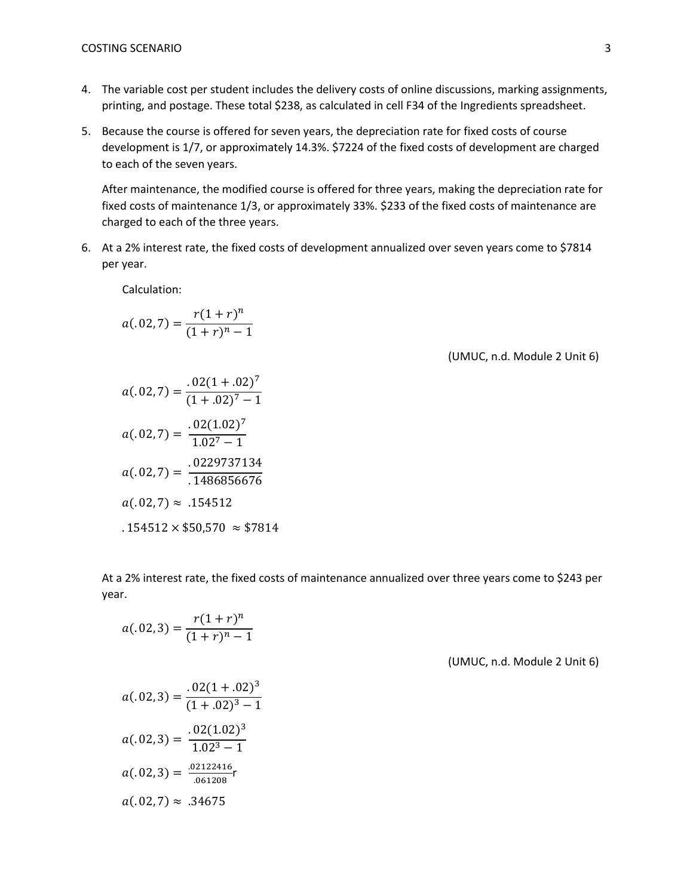- 4. The variable cost per student includes the delivery costs of online discussions, marking assignments, printing, and postage. These total \$238, as calculated in cell F34 of the Ingredients spreadsheet.
- 5. Because the course is offered for seven years, the depreciation rate for fixed costs of course development is 1/7, or approximately 14.3%. \$7224 of the fixed costs of development are charged to each of the seven years.

After maintenance, the modified course is offered for three years, making the depreciation rate for fixed costs of maintenance 1/3, or approximately 33%. \$233 of the fixed costs of maintenance are charged to each of the three years.

6. At a 2% interest rate, the fixed costs of development annualized over seven years come to \$7814 per year.

Calculation:

$$
a(.02,7) = \frac{r(1+r)^n}{(1+r)^n - 1}
$$

(UMUC, n.d. Module 2 Unit 6)

$$
a(.02,7) = \frac{.02(1+.02)^7}{(1+.02)^7 - 1}
$$

$$
a(.02,7) = \frac{.02(1.02)^7}{1.02^7 - 1}
$$

$$
a(.02,7) = \frac{.0229737134}{.1486856676}
$$

$$
a(.02,7) \approx .154512
$$

$$
.154512 \times $50,570 \approx $7814
$$

At a 2% interest rate, the fixed costs of maintenance annualized over three years come to \$243 per year.

$$
a(.02,3) = \frac{r(1+r)^n}{(1+r)^n - 1}
$$

(UMUC, n.d. Module 2 Unit 6)

$$
a(.02,3) = \frac{.02(1+.02)^3}{(1+.02)^3 - 1}
$$

$$
a(.02,3) = \frac{.02(1.02)^3}{1.02^3 - 1}
$$

$$
a(.02,3) = \frac{.02122416}{.061208}
$$

$$
a(.02,7) \approx .34675
$$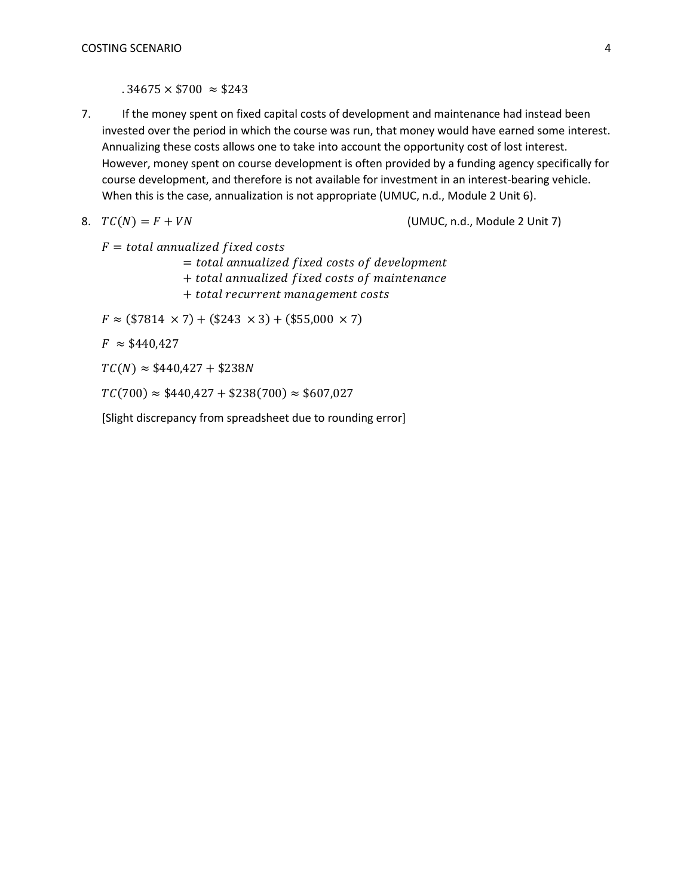$.34675 \times $700 \approx $243$ 

7. If the money spent on fixed capital costs of development and maintenance had instead been invested over the period in which the course was run, that money would have earned some interest. Annualizing these costs allows one to take into account the opportunity cost of lost interest. However, money spent on course development is often provided by a funding agency specifically for course development, and therefore is not available for investment in an interest-bearing vehicle. When this is the case, annualization is not appropriate (UMUC, n.d., Module 2 Unit 6).

8. 
$$
TC(N) = F + VN
$$

(UMUC, n.d., Module 2 Unit 7)

 $F = total$  annualized fixed costs

 $=$  total annualized fixed costs of development

+ total annualized fixed costs of maintenance

+ total recurrent management costs

 $F \approx$  (\$7814  $\times$  7) + (\$243  $\times$  3) + (\$55,000  $\times$  7)

 $F \approx $440,427$ 

 $TC(N) \approx $440,427 + $238N$ 

 $TC(700) \approx $440,427 + $238(700) \approx $607,027$ 

[Slight discrepancy from spreadsheet due to rounding error]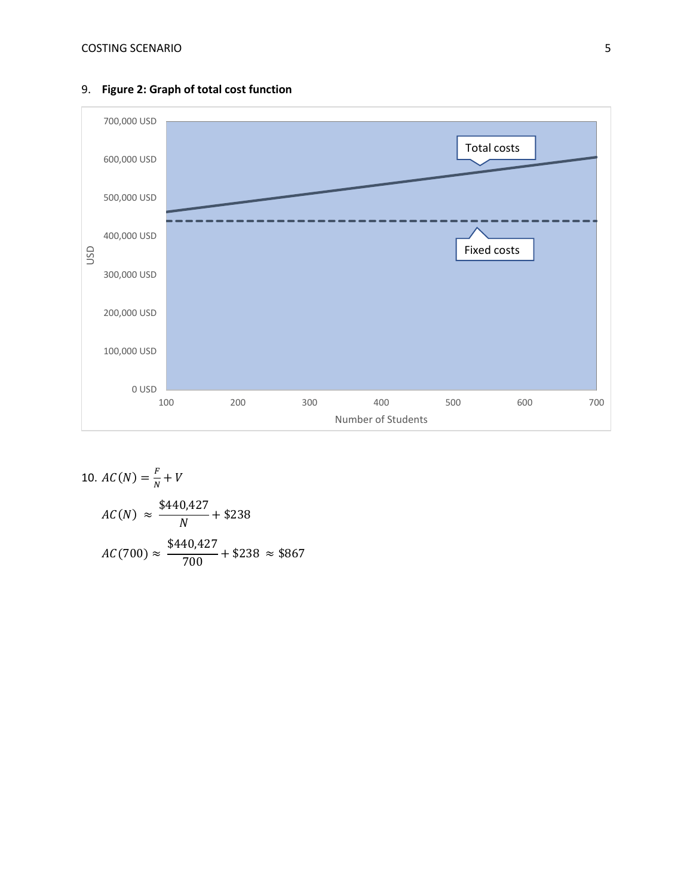

## 9. **Figure 2: Graph of total cost function**

10. 
$$
AC(N) = \frac{F}{N} + V
$$
  
\n $AC(N) \approx \frac{\$440,427}{N} + \$238$   
\n $AC(700) \approx \frac{\$440,427}{700} + \$238 \approx \$867$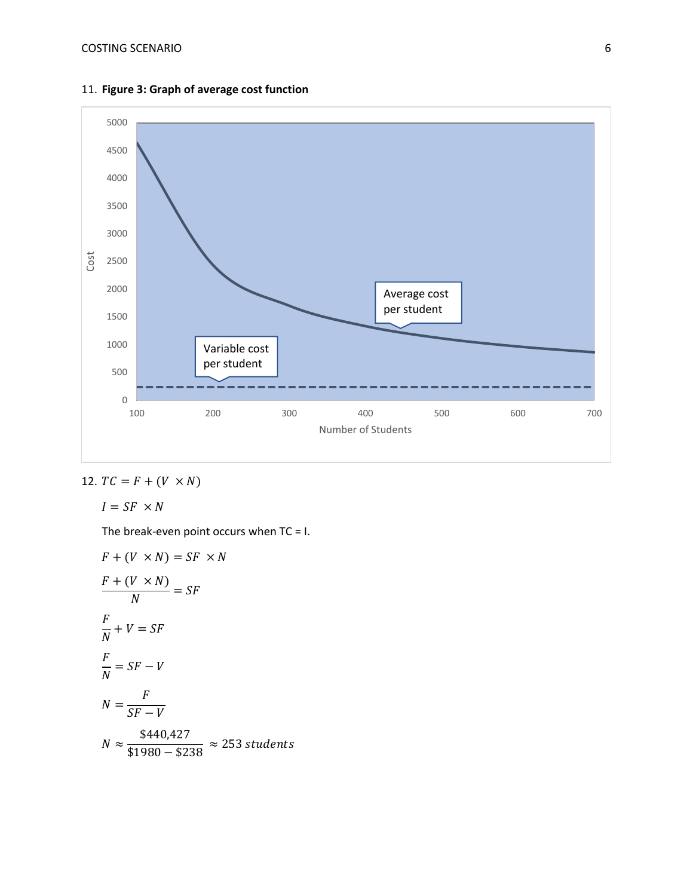

11. **Figure 3: Graph of average cost function**

12. 
$$
TC = F + (V \times N)
$$

$$
I = SF \times N
$$

The break-even point occurs when  $TC = I$ .

$$
F + (V \times N) = SF \times N
$$
  
\n
$$
\frac{F + (V \times N)}{N} = SF
$$
  
\n
$$
\frac{F}{N} + V = SF
$$
  
\n
$$
\frac{F}{N} = SF - V
$$
  
\n
$$
N = \frac{F}{SF - V}
$$
  
\n
$$
N \approx \frac{$440,427}{$1980 - $238} \approx 253
$$
 students